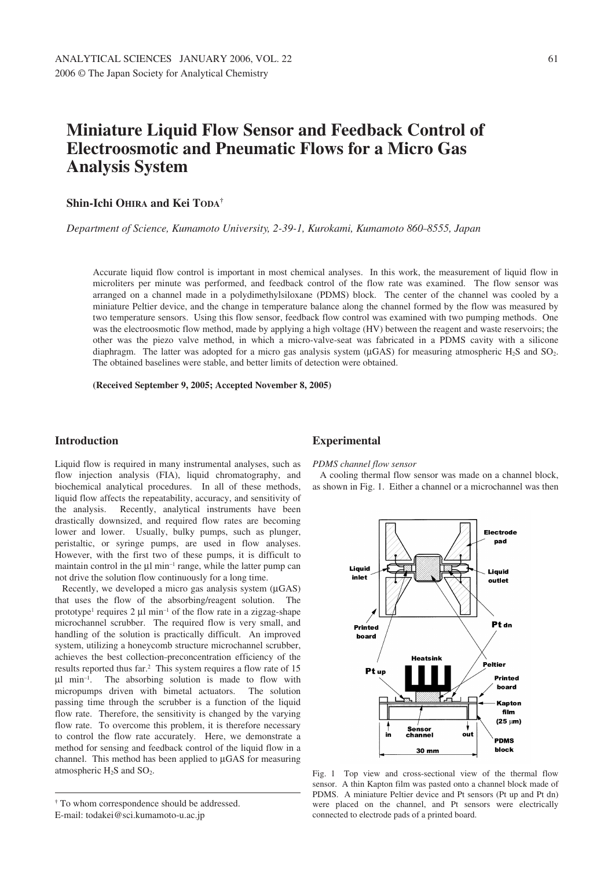# **Miniature Liquid Flow Sensor and Feedback Control of Electroosmotic and Pneumatic Flows for a Micro Gas Analysis System**

### **Shin-Ichi OHIRA and Kei TODA†**

*Department of Science, Kumamoto University, 2-39-1, Kurokami, Kumamoto 860–8555, Japan*

Accurate liquid flow control is important in most chemical analyses. In this work, the measurement of liquid flow in microliters per minute was performed, and feedback control of the flow rate was examined. The flow sensor was arranged on a channel made in a polydimethylsiloxane (PDMS) block. The center of the channel was cooled by a miniature Peltier device, and the change in temperature balance along the channel formed by the flow was measured by two temperature sensors. Using this flow sensor, feedback flow control was examined with two pumping methods. One was the electroosmotic flow method, made by applying a high voltage (HV) between the reagent and waste reservoirs; the other was the piezo valve method, in which a micro-valve-seat was fabricated in a PDMS cavity with a silicone diaphragm. The latter was adopted for a micro gas analysis system ( $\mu$ GAS) for measuring atmospheric H<sub>2</sub>S and SO<sub>2</sub>. The obtained baselines were stable, and better limits of detection were obtained.

**(Received September 9, 2005; Accepted November 8, 2005)**

## **Introduction**

Liquid flow is required in many instrumental analyses, such as flow injection analysis (FIA), liquid chromatography, and biochemical analytical procedures. In all of these methods, liquid flow affects the repeatability, accuracy, and sensitivity of the analysis. Recently, analytical instruments have been drastically downsized, and required flow rates are becoming lower and lower. Usually, bulky pumps, such as plunger, peristaltic, or syringe pumps, are used in flow analyses. However, with the first two of these pumps, it is difficult to maintain control in the  $\mu$ l min<sup>-1</sup> range, while the latter pump can not drive the solution flow continuously for a long time.

Recently, we developed a micro gas analysis system  $(\mu$ GAS) that uses the flow of the absorbing/reagent solution. The prototype<sup>1</sup> requires 2  $\mu$ l min<sup>-1</sup> of the flow rate in a zigzag-shape microchannel scrubber. The required flow is very small, and handling of the solution is practically difficult. An improved system, utilizing a honeycomb structure microchannel scrubber, achieves the best collection–preconcentration efficiency of the results reported thus far.2 This system requires a flow rate of 15 µl min–1. The absorbing solution is made to flow with micropumps driven with bimetal actuators. The solution passing time through the scrubber is a function of the liquid flow rate. Therefore, the sensitivity is changed by the varying flow rate. To overcome this problem, it is therefore necessary to control the flow rate accurately. Here, we demonstrate a method for sensing and feedback control of the liquid flow in a channel. This method has been applied to µGAS for measuring atmospheric  $H_2S$  and  $SO_2$ .

# **Experimental**

### *PDMS channel flow sensor*

A cooling thermal flow sensor was made on a channel block, as shown in Fig. 1. Either a channel or a microchannel was then



Fig. 1 Top view and cross-sectional view of the thermal flow sensor. A thin Kapton film was pasted onto a channel block made of PDMS. A miniature Peltier device and Pt sensors (Pt up and Pt dn) were placed on the channel, and Pt sensors were electrically connected to electrode pads of a printed board.

**<sup>†</sup>** To whom correspondence should be addressed.

E-mail: todakei@sci.kumamoto-u.ac.jp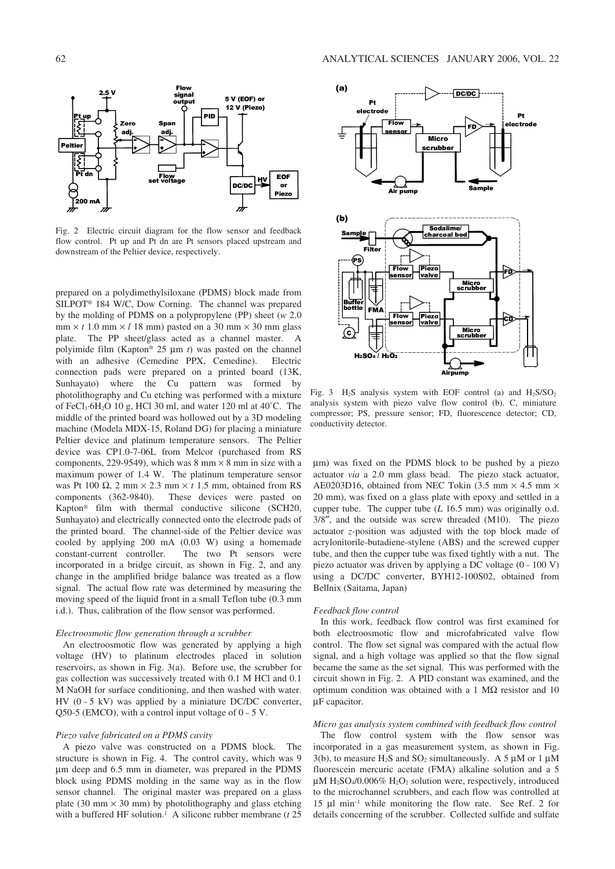

Fig. 2 Electric circuit diagram for the flow sensor and feedback flow control. Pt up and Pt dn are Pt sensors placed upstream and downstream of the Peltier device, respectively.

prepared on a polydimethylsiloxane (PDMS) block made from SILPOT® 184 W/C, Dow Corning. The channel was prepared by the molding of PDMS on a polypropylene (PP) sheet (*w* 2.0  $mm \times t$  1.0 mm  $\times$  *l* 18 mm) pasted on a 30 mm  $\times$  30 mm glass plate. The PP sheet/glass acted as a channel master. polyimide film (Kapton® 25 µm *t*) was pasted on the channel with an adhesive (Cemedine PPX, Cemedine). Electric connection pads were prepared on a printed board (13K, Sunhayato) where the Cu pattern was formed by photolithography and Cu etching was performed with a mixture of FeCl<sub>3</sub>·6H<sub>2</sub>O 10 g, HCl 30 ml, and water 120 ml at  $40^{\circ}$ C. The middle of the printed board was hollowed out by a 3D modeling machine (Modela MDX-15, Roland DG) for placing a miniature Peltier device and platinum temperature sensors. The Peltier device was CP1.0-7-06L from Melcor (purchased from RS components, 229-9549), which was 8 mm  $\times$  8 mm in size with a maximum power of 1.4 W. The platinum temperature sensor was Pt 100  $\Omega$ , 2 mm  $\times$  2.3 mm  $\times$  t 1.5 mm, obtained from RS components (362-9840). These devices were pasted on Kapton® film with thermal conductive silicone (SCH20, Sunhayato) and electrically connected onto the electrode pads of the printed board. The channel-side of the Peltier device was cooled by applying 200 mA (0.03 W) using a homemade constant-current controller. The two Pt sensors were incorporated in a bridge circuit, as shown in Fig. 2, and any change in the amplified bridge balance was treated as a flow signal. The actual flow rate was determined by measuring the moving speed of the liquid front in a small Teflon tube (0.3 mm i.d.). Thus, calibration of the flow sensor was performed.

### *Electroosmotic flow generation through a scrubber*

An electroosmotic flow was generated by applying a high voltage (HV) to platinum electrodes placed in solution reservoirs, as shown in Fig. 3(a). Before use, the scrubber for gas collection was successively treated with 0.1 M HCl and 0.1 M NaOH for surface conditioning, and then washed with water. HV  $(0 - 5 \text{ kV})$  was applied by a miniature DC/DC converter,  $Q50-5$  (EMCO), with a control input voltage of  $0 - 5$  V.

#### *Piezo valve fabricated on a PDMS cavity*

A piezo valve was constructed on a PDMS block. The structure is shown in Fig. 4. The control cavity, which was 9 µm deep and 6.5 mm in diameter, was prepared in the PDMS block using PDMS molding in the same way as in the flow sensor channel. The original master was prepared on a glass plate (30 mm  $\times$  30 mm) by photolithography and glass etching with a buffered HF solution.<sup>1</sup> A silicone rubber membrane (*t* 25



Fig. 3  $H_2S$  analysis system with EOF control (a) and  $H_2S/SO_2$ analysis system with piezo valve flow control (b). C, miniature compressor; PS, pressure sensor; FD, fluorescence detector; CD, conductivity detector.

µm) was fixed on the PDMS block to be pushed by a piezo actuator *via* a 2.0 mm glass bead. The piezo stack actuator, AE0203D16, obtained from NEC Tokin  $(3.5 \text{ mm} \times 4.5 \text{ mm} \times$ 20 mm), was fixed on a glass plate with epoxy and settled in a cupper tube. The cupper tube (*L* 16.5 mm) was originally o.d. 3/8″, and the outside was screw threaded (M10). The piezo actuator *z*-position was adjusted with the top block made of acrylonitorile–butadiene–stylene (ABS) and the screwed cupper tube, and then the cupper tube was fixed tightly with a nut. The piezo actuator was driven by applying a DC voltage (0 – 100 V) using a DC/DC converter, BYH12-100S02, obtained from Bellnix (Saitama, Japan)

#### *Feedback flow control*

In this work, feedback flow control was first examined for both electroosmotic flow and microfabricated valve flow control. The flow set signal was compared with the actual flow signal, and a high voltage was applied so that the flow signal became the same as the set signal. This was performed with the circuit shown in Fig. 2. A PID constant was examined, and the optimum condition was obtained with a 1 MΩ resistor and 10 µF capacitor.

#### *Micro gas analysis system combined with feedback flow control*

The flow control system with the flow sensor was incorporated in a gas measurement system, as shown in Fig. 3(b), to measure H<sub>2</sub>S and SO<sub>2</sub> simultaneously. A 5  $\mu$ M or 1  $\mu$ M fluorescein mercuric acetate (FMA) alkaline solution and a 5  $\mu$ M H<sub>2</sub>SO<sub>4</sub>/0.006% H<sub>2</sub>O<sub>2</sub> solution were, respectively, introduced to the microchannel scrubbers, and each flow was controlled at 15 µl min–1 while monitoring the flow rate. See Ref. 2 for details concerning of the scrubber. Collected sulfide and sulfate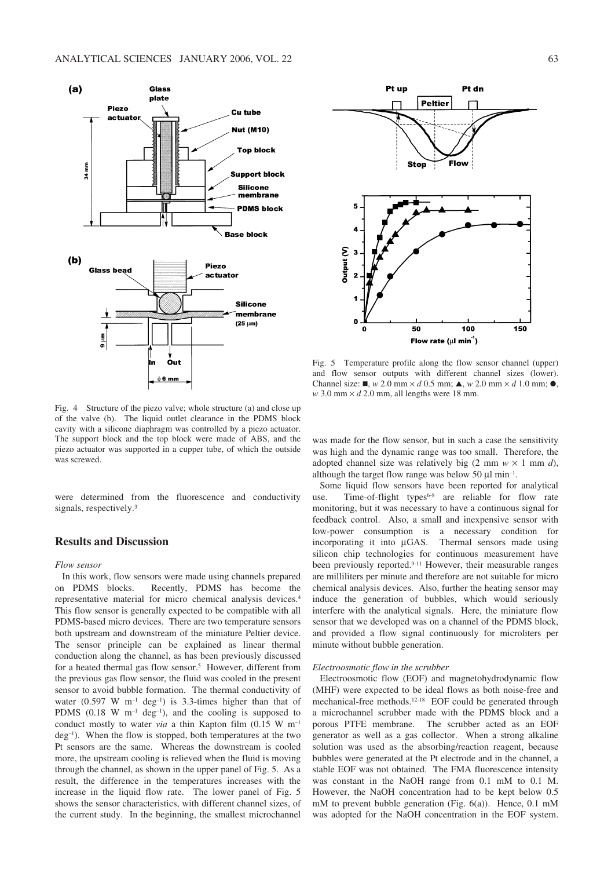

Fig. 4 Structure of the piezo valve; whole structure (a) and close up of the valve (b). The liquid outlet clearance in the PDMS block cavity with a silicone diaphragm was controlled by a piezo actuator. The support block and the top block were made of ABS, and the piezo actuator was supported in a cupper tube, of which the outside was screwed.

were determined from the fluorescence and conductivity signals, respectively.<sup>3</sup>

# **Results and Discussion**

### *Flow sensor*

In this work, flow sensors were made using channels prepared on PDMS blocks. Recently, PDMS has become the representative material for micro chemical analysis devices.4 This flow sensor is generally expected to be compatible with all PDMS-based micro devices. There are two temperature sensors both upstream and downstream of the miniature Peltier device. The sensor principle can be explained as linear thermal conduction along the channel, as has been previously discussed for a heated thermal gas flow sensor.<sup>5</sup> However, different from the previous gas flow sensor, the fluid was cooled in the present sensor to avoid bubble formation. The thermal conductivity of water (0.597 W m<sup>-1</sup> deg<sup>-1</sup>) is 3.3-times higher than that of PDMS  $(0.18 \text{ W m}^{-1} \text{ deg}^{-1})$ , and the cooling is supposed to conduct mostly to water *via* a thin Kapton film (0.15 W m–1  $deg^{-1}$ ). When the flow is stopped, both temperatures at the two Pt sensors are the same. Whereas the downstream is cooled more, the upstream cooling is relieved when the fluid is moving through the channel, as shown in the upper panel of Fig. 5. As a result, the difference in the temperatures increases with the increase in the liquid flow rate. The lower panel of Fig. 5 shows the sensor characteristics, with different channel sizes, of the current study. In the beginning, the smallest microchannel



Fig. 5 Temperature profile along the flow sensor channel (upper) and flow sensor outputs with different channel sizes (lower). Channel size:  $\blacksquare$ , *w* 2.0 mm × *d* 0.5 mm;  $\blacktriangle$ , *w* 2.0 mm × *d* 1.0 mm;  $\blacklozenge$ ,  $w$  3.0 mm  $\times$  *d* 2.0 mm, all lengths were 18 mm.

was made for the flow sensor, but in such a case the sensitivity was high and the dynamic range was too small. Therefore, the adopted channel size was relatively big  $(2 \text{ mm } w \times 1 \text{ mm } d)$ , although the target flow range was below 50  $\mu$ l min<sup>-1</sup>.

Some liquid flow sensors have been reported for analytical use. Time-of-flight types<sup> $6-8$ </sup> are reliable for flow rate monitoring, but it was necessary to have a continuous signal for feedback control. Also, a small and inexpensive sensor with low-power consumption is a necessary condition for incorporating it into µGAS. Thermal sensors made using silicon chip technologies for continuous measurement have been previously reported.<sup>9-11</sup> However, their measurable ranges are milliliters per minute and therefore are not suitable for micro chemical analysis devices. Also, further the heating sensor may induce the generation of bubbles, which would seriously interfere with the analytical signals. Here, the miniature flow sensor that we developed was on a channel of the PDMS block, and provided a flow signal continuously for microliters per minute without bubble generation.

#### *Electroosmotic flow in the scrubber*

Electroosmotic flow (EOF) and magnetohydrodynamic flow (MHF) were expected to be ideal flows as both noise-free and mechanical-free methods.12–18 EOF could be generated through a microchannel scrubber made with the PDMS block and a porous PTFE membrane. The scrubber acted as an EOF generator as well as a gas collector. When a strong alkaline solution was used as the absorbing/reaction reagent, because bubbles were generated at the Pt electrode and in the channel, a stable EOF was not obtained. The FMA fluorescence intensity was constant in the NaOH range from 0.1 mM to 0.1 M. However, the NaOH concentration had to be kept below 0.5 mM to prevent bubble generation (Fig. 6(a)). Hence, 0.1 mM was adopted for the NaOH concentration in the EOF system.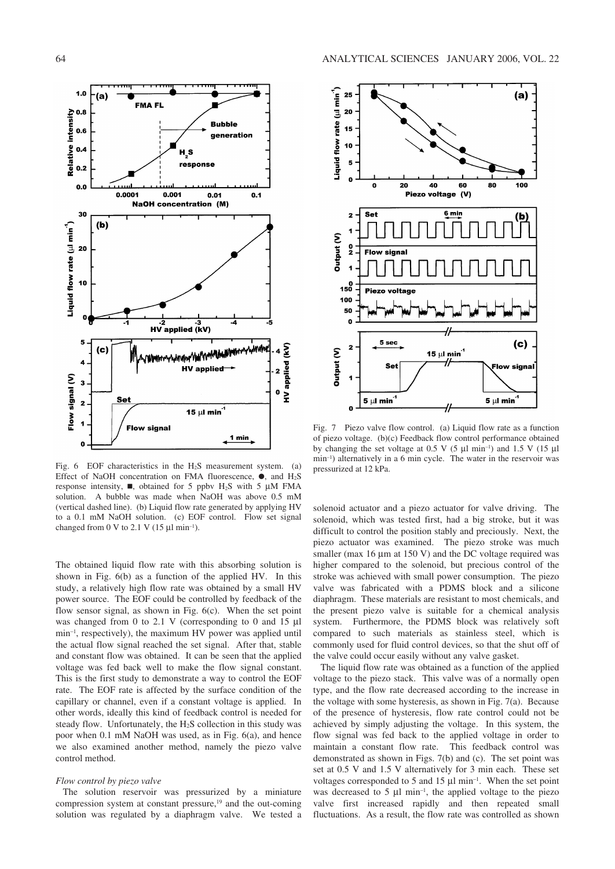

Fig. 6 EOF characteristics in the  $H_2S$  measurement system. (a) Effect of NaOH concentration on FMA fluorescence,  $\bullet$ , and H<sub>2</sub>S response intensity,  $\blacksquare$ , obtained for 5 ppbv H<sub>2</sub>S with 5  $\mu$ M FMA solution. A bubble was made when NaOH was above 0.5 mM (vertical dashed line). (b) Liquid flow rate generated by applying HV to a 0.1 mM NaOH solution. (c) EOF control. Flow set signal changed from 0 V to 2.1 V (15  $\mu$ l min<sup>-1</sup>).

The obtained liquid flow rate with this absorbing solution is shown in Fig. 6(b) as a function of the applied HV. In this study, a relatively high flow rate was obtained by a small HV power source. The EOF could be controlled by feedback of the flow sensor signal, as shown in Fig. 6(c). When the set point was changed from 0 to 2.1 V (corresponding to 0 and 15 µl min–1, respectively), the maximum HV power was applied until the actual flow signal reached the set signal. After that, stable and constant flow was obtained. It can be seen that the applied voltage was fed back well to make the flow signal constant. This is the first study to demonstrate a way to control the EOF rate. The EOF rate is affected by the surface condition of the capillary or channel, even if a constant voltage is applied. In other words, ideally this kind of feedback control is needed for steady flow. Unfortunately, the  $H_2S$  collection in this study was poor when 0.1 mM NaOH was used, as in Fig. 6(a), and hence we also examined another method, namely the piezo valve control method.

#### *Flow control by piezo valve*

The solution reservoir was pressurized by a miniature compression system at constant pressure,<sup>19</sup> and the out-coming solution was regulated by a diaphragm valve. We tested a



Fig. 7 Piezo valve flow control. (a) Liquid flow rate as a function of piezo voltage. (b)(c) Feedback flow control performance obtained by changing the set voltage at 0.5 V  $(5 \mu I \text{ min}^{-1})$  and 1.5 V  $(15 \mu I \text{ min}^{-1})$ min–1) alternatively in a 6 min cycle. The water in the reservoir was pressurized at 12 kPa.

solenoid actuator and a piezo actuator for valve driving. The solenoid, which was tested first, had a big stroke, but it was difficult to control the position stably and preciously. Next, the piezo actuator was examined. The piezo stroke was much smaller (max  $16 \mu m$  at  $150 \text{ V}$ ) and the DC voltage required was higher compared to the solenoid, but precious control of the stroke was achieved with small power consumption. The piezo valve was fabricated with a PDMS block and a silicone diaphragm. These materials are resistant to most chemicals, and the present piezo valve is suitable for a chemical analysis system. Furthermore, the PDMS block was relatively soft compared to such materials as stainless steel, which is commonly used for fluid control devices, so that the shut off of the valve could occur easily without any valve gasket.

The liquid flow rate was obtained as a function of the applied voltage to the piezo stack. This valve was of a normally open type, and the flow rate decreased according to the increase in the voltage with some hysteresis, as shown in Fig. 7(a). Because of the presence of hysteresis, flow rate control could not be achieved by simply adjusting the voltage. In this system, the flow signal was fed back to the applied voltage in order to maintain a constant flow rate. This feedback control was demonstrated as shown in Figs. 7(b) and (c). The set point was set at 0.5 V and 1.5 V alternatively for 3 min each. These set voltages corresponded to 5 and 15 µl min–1. When the set point was decreased to  $5 \mu l \text{ min}^{-1}$ , the applied voltage to the piezo valve first increased rapidly and then repeated small fluctuations. As a result, the flow rate was controlled as shown